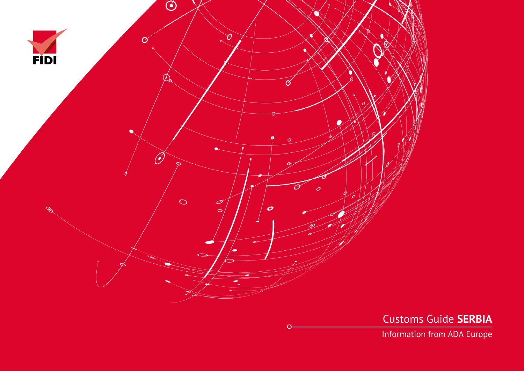

Customs Guide **SERBIA**

Information from ADA Europe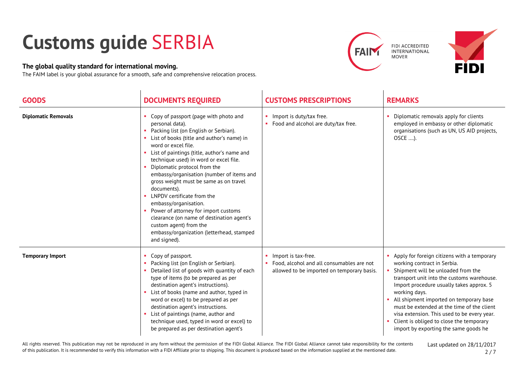## **Customs guide** SERBIA

## **The global quality standard for international moving.**

The FAIM label is your global assurance for a smooth, safe and comprehensive relocation process.





| <b>GOODS</b>               | <b>DOCUMENTS REQUIRED</b>                                                                                                                                                                                                                                                                                                                                                                                                                                                                                                                                                                                                                      | <b>CUSTOMS PRESCRIPTIONS</b>                                                                                     | <b>REMARKS</b>                                                                                                                                                                                                                                                                                                                                                                                                                                           |
|----------------------------|------------------------------------------------------------------------------------------------------------------------------------------------------------------------------------------------------------------------------------------------------------------------------------------------------------------------------------------------------------------------------------------------------------------------------------------------------------------------------------------------------------------------------------------------------------------------------------------------------------------------------------------------|------------------------------------------------------------------------------------------------------------------|----------------------------------------------------------------------------------------------------------------------------------------------------------------------------------------------------------------------------------------------------------------------------------------------------------------------------------------------------------------------------------------------------------------------------------------------------------|
| <b>Diplomatic Removals</b> | Copy of passport (page with photo and<br>personal data).<br>Packing list (on English or Serbian).<br>m.<br>List of books (title and author's name) in<br>word or excel file.<br>List of paintings (title, author's name and<br>technique used) in word or excel file.<br>Diplomatic protocol from the<br>embassy/organisation (number of items and<br>gross weight must be same as on travel<br>documents).<br>LNPDV certificate from the<br>embassy/organisation.<br>Power of attorney for import customs<br>clearance (on name of destination agent's<br>custom agent) from the<br>embassy/organization (letterhead, stamped<br>and signed). | • Import is duty/tax free.<br>• Food and alcohol are duty/tax free.                                              | • Diplomatic removals apply for clients<br>employed in embassy or other diplomatic<br>organisations (such as UN, US AID projects,<br>OSCE ).                                                                                                                                                                                                                                                                                                             |
| <b>Temporary Import</b>    | Copy of passport.<br>٠<br>Packing list (on English or Serbian).<br>Detailed list of goods with quantity of each<br>type of items (to be prepared as per<br>destination agent's instructions).<br>List of books (name and author, typed in<br>word or excel) to be prepared as per<br>destination agent's instructions.<br>List of paintings (name, author and<br>technique used, typed in word or excel) to<br>be prepared as per destination agent's                                                                                                                                                                                          | Import is tax-free.<br>• Food, alcohol and all consumables are not<br>allowed to be imported on temporary basis. | Apply for foreign citizens with a temporary<br>working contract in Serbia.<br>Shipment will be unloaded from the<br>transport unit into the customs warehouse.<br>Import procedure usually takes approx. 5<br>working days.<br>All shipment imported on temporary base<br>must be extended at the time of the client<br>visa extension. This used to be every year.<br>Client is obliged to close the temporary<br>import by exporting the same goods he |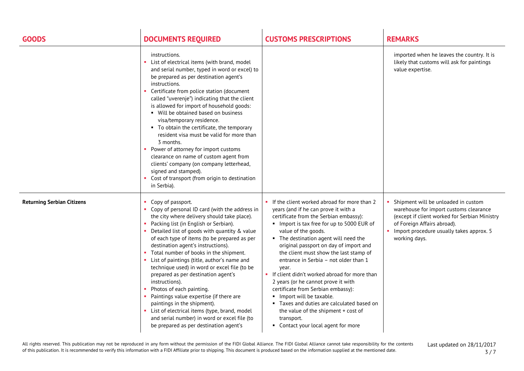| <b>GOODS</b>                      | <b>DOCUMENTS REQUIRED</b>                                                                                                                                                                                                                                                                                                                                                                                                                                                                                                                                                                                                                                                                                                                                  | <b>CUSTOMS PRESCRIPTIONS</b>                                                                                                                                                                                                                                                                                                                                                                                                                                                                                                                                                                                                                                                        | <b>REMARKS</b>                                                                                                                                                                                                             |
|-----------------------------------|------------------------------------------------------------------------------------------------------------------------------------------------------------------------------------------------------------------------------------------------------------------------------------------------------------------------------------------------------------------------------------------------------------------------------------------------------------------------------------------------------------------------------------------------------------------------------------------------------------------------------------------------------------------------------------------------------------------------------------------------------------|-------------------------------------------------------------------------------------------------------------------------------------------------------------------------------------------------------------------------------------------------------------------------------------------------------------------------------------------------------------------------------------------------------------------------------------------------------------------------------------------------------------------------------------------------------------------------------------------------------------------------------------------------------------------------------------|----------------------------------------------------------------------------------------------------------------------------------------------------------------------------------------------------------------------------|
|                                   | instructions.<br>• List of electrical items (with brand, model<br>and serial number, typed in word or excel) to<br>be prepared as per destination agent's<br>instructions.<br>• Certificate from police station (document<br>called "uverenje") indicating that the client<br>is allowed for import of household goods:<br>• Will be obtained based on business<br>visa/temporary residence.<br>• To obtain the certificate, the temporary<br>resident visa must be valid for more than<br>3 months.<br>• Power of attorney for import customs<br>clearance on name of custom agent from<br>clients' company (on company letterhead,<br>signed and stamped).<br>Cost of transport (from origin to destination<br>in Serbia).                               |                                                                                                                                                                                                                                                                                                                                                                                                                                                                                                                                                                                                                                                                                     | imported when he leaves the country. It is<br>likely that customs will ask for paintings<br>value expertise.                                                                                                               |
| <b>Returning Serbian Citizens</b> | Copy of passport.<br>• Copy of personal ID card (with the address in<br>the city where delivery should take place).<br>• Packing list (in English or Serbian).<br>Detailed list of goods with quantity & value<br>of each type of items (to be prepared as per<br>destination agent's instructions).<br>• Total number of books in the shipment.<br>List of paintings (title, author's name and<br>technique used) in word or excel file (to be<br>prepared as per destination agent's<br>instructions).<br>Photos of each painting.<br>Paintings value expertise (if there are<br>paintings in the shipment).<br>• List of electrical items (type, brand, model<br>and serial number) in word or excel file (to<br>be prepared as per destination agent's | • If the client worked abroad for more than 2<br>years (and if he can prove it with a<br>certificate from the Serbian embassy):<br>Import is tax free for up to 5000 EUR of<br>value of the goods.<br>• The destination agent will need the<br>original passport on day of import and<br>the client must show the last stamp of<br>entrance in Serbia - not older than 1<br>year.<br>If client didn't worked abroad for more than<br>2 years (or he cannot prove it with<br>certificate from Serbian embassy):<br>Import will be taxable.<br>• Taxes and duties are calculated based on<br>the value of the shipment + cost of<br>transport.<br>• Contact your local agent for more | Shipment will be unloaded in custom<br>warehouse for import customs clearance<br>(except if client worked for Serbian Ministry<br>of Foreign Affairs abroad).<br>Import procedure usually takes approx. 5<br>working days. |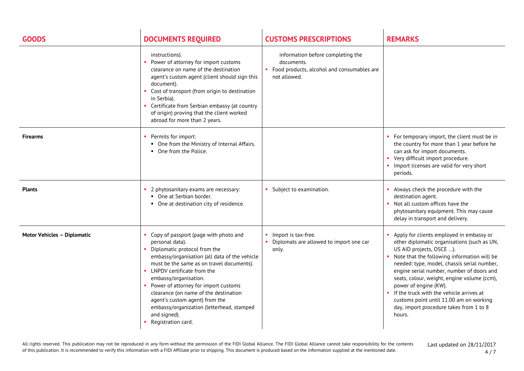| <b>GOODS</b>                | <b>DOCUMENTS REQUIRED</b>                                                                                                                                                                                                                                                                                                                                                                                                                             | <b>CUSTOMS PRESCRIPTIONS</b>                                                                                  | <b>REMARKS</b>                                                                                                                                                                                                                                                                                                                                                                                                                                                                           |
|-----------------------------|-------------------------------------------------------------------------------------------------------------------------------------------------------------------------------------------------------------------------------------------------------------------------------------------------------------------------------------------------------------------------------------------------------------------------------------------------------|---------------------------------------------------------------------------------------------------------------|------------------------------------------------------------------------------------------------------------------------------------------------------------------------------------------------------------------------------------------------------------------------------------------------------------------------------------------------------------------------------------------------------------------------------------------------------------------------------------------|
|                             | instructions).<br>Power of attorney for import customs<br>clearance on name of the destination<br>agent's custom agent (client should sign this<br>document).<br>• Cost of transport (from origin to destination<br>in Serbia).<br>• Certificate from Serbian embassy (at country<br>of origin) proving that the client worked<br>abroad for more than 2 years.                                                                                       | information before completing the<br>documents.<br>Food products, alcohol and consumables are<br>not allowed. |                                                                                                                                                                                                                                                                                                                                                                                                                                                                                          |
| <b>Firearms</b>             | Permits for import:<br>• One from the Ministry of Internal Affairs.<br>• One from the Police.                                                                                                                                                                                                                                                                                                                                                         |                                                                                                               | • For temporary import, the client must be in<br>the country for more than 1 year before he<br>can ask for import documents.<br>• Very difficult import procedure.<br>Import licenses are valid for very short<br>periods.                                                                                                                                                                                                                                                               |
| <b>Plants</b>               | 2 phytosanitary exams are necessary:<br>• One at Serbian border.<br>• One at destination city of residence.                                                                                                                                                                                                                                                                                                                                           | Subject to examination.                                                                                       | • Always check the procedure with the<br>destination agent.<br>• Not all custom offices have the<br>phytosanitary equipment. This may cause<br>delay in transport and delivery.                                                                                                                                                                                                                                                                                                          |
| Motor Vehicles - Diplomatic | Copy of passport (page with photo and<br>personal data).<br>Diplomatic protocol from the<br>embassy/organisation (all data of the vehicle<br>must be the same as on travel documents).<br>• LNPDV certificate from the<br>embassy/organisation.<br>Power of attorney for import customs<br>clearance (on name of the destination<br>agent's custom agent) from the<br>embassy/organization (letterhead, stamped<br>and signed).<br>Registration card. | Import is tax-free.<br>Diplomats are allowed to import one car<br>only.                                       | • Apply for clients employed in embassy or<br>other diplomatic organisations (such as UN,<br>US AID projects, OSCE ).<br>• Note that the following information will be<br>needed: type, model, chassis serial number,<br>engine serial number, number of doors and<br>seats, colour, weight, engine volume (ccm),<br>power of engine (KW).<br>• If the truck with the vehicle arrives at<br>customs point until 11.00 am on working<br>day, import procedure takes from 1 to 8<br>hours. |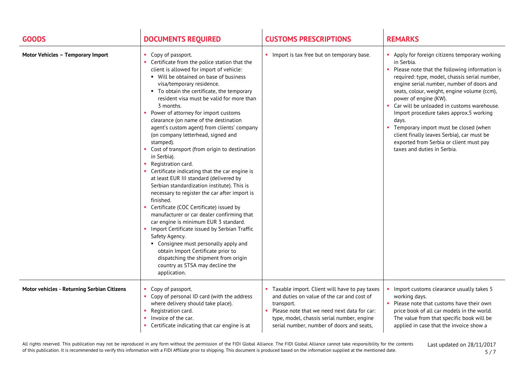| <b>GOODS</b>                                | <b>DOCUMENTS REQUIRED</b>                                                                                                                                                                                                                                                                                                                                                                                                                                                                                                                                                                                                                                                                                                                                                                                                                                                                                                                                                                                                                                                                                                                                                        | <b>CUSTOMS PRESCRIPTIONS</b>                                                                                                                                                                                                                        | <b>REMARKS</b>                                                                                                                                                                                                                                                                                                                                                                                                                                                                                                                                             |
|---------------------------------------------|----------------------------------------------------------------------------------------------------------------------------------------------------------------------------------------------------------------------------------------------------------------------------------------------------------------------------------------------------------------------------------------------------------------------------------------------------------------------------------------------------------------------------------------------------------------------------------------------------------------------------------------------------------------------------------------------------------------------------------------------------------------------------------------------------------------------------------------------------------------------------------------------------------------------------------------------------------------------------------------------------------------------------------------------------------------------------------------------------------------------------------------------------------------------------------|-----------------------------------------------------------------------------------------------------------------------------------------------------------------------------------------------------------------------------------------------------|------------------------------------------------------------------------------------------------------------------------------------------------------------------------------------------------------------------------------------------------------------------------------------------------------------------------------------------------------------------------------------------------------------------------------------------------------------------------------------------------------------------------------------------------------------|
| Motor Vehicles - Temporary Import           | Copy of passport.<br>$\mathbf{u}$ .<br>Certificate from the police station that the<br>client is allowed for import of vehicle:<br>■ Will be obtained on base of business<br>visa/temporary residence.<br>• To obtain the certificate, the temporary<br>resident visa must be valid for more than<br>3 months.<br>Power of attorney for import customs<br>clearance (on name of the destination<br>agent's custom agent) from clients' company<br>(on company letterhead, signed and<br>stamped).<br>Cost of transport (from origin to destination<br>in Serbia).<br>Registration card.<br>Certificate indicating that the car engine is<br>at least EUR III standard (delivered by<br>Serbian standardization institute). This is<br>necessary to register the car after import is<br>finished.<br>Certificate (COC Certificate) issued by<br>manufacturer or car dealer confirming that<br>car engine is minimum EUR 3 standard.<br>• Import Certificate issued by Serbian Traffic<br>Safety Agency.<br>• Consignee must personally apply and<br>obtain Import Certificate prior to<br>dispatching the shipment from origin<br>country as STSA may decline the<br>application. | Import is tax free but on temporary base.                                                                                                                                                                                                           | • Apply for foreign citizens temporary working<br>in Serbia.<br>• Please note that the following information is<br>required: type, model, chassis serial number,<br>engine serial number, number of doors and<br>seats, colour, weight, engine volume (ccm),<br>power of engine (KW).<br>• Car will be unloaded in customs warehouse.<br>Import procedure takes approx.5 working<br>days.<br>Temporary import must be closed (when<br>client finally leaves Serbia), car must be<br>exported from Serbia or client must pay<br>taxes and duties in Serbia. |
| Motor vehicles - Returning Serbian Citizens | Copy of passport.<br>Copy of personal ID card (with the address<br>where delivery should take place).<br>Registration card.<br>Invoice of the car.<br>Certificate indicating that car engine is at                                                                                                                                                                                                                                                                                                                                                                                                                                                                                                                                                                                                                                                                                                                                                                                                                                                                                                                                                                               | Taxable import. Client will have to pay taxes<br>and duties on value of the car and cost of<br>transport.<br>Please note that we need next data for car:<br>type, model, chassis serial number, engine<br>serial number, number of doors and seats, | Import customs clearance usually takes 5<br>working days.<br>• Please note that customs have their own<br>price book of all car models in the world.<br>The value from that specific book will be<br>applied in case that the invoice show a                                                                                                                                                                                                                                                                                                               |

All rights reserved. This publication may not be reproduced in any form without the permission of the FIDI Global Alliance. The FIDI Global Alliance cannot take responsibility for the contents of this publication. It is recommended to verify this information with a FIDI Affiliate prior to shipping. This document is produced based on the information supplied at the mentioned date.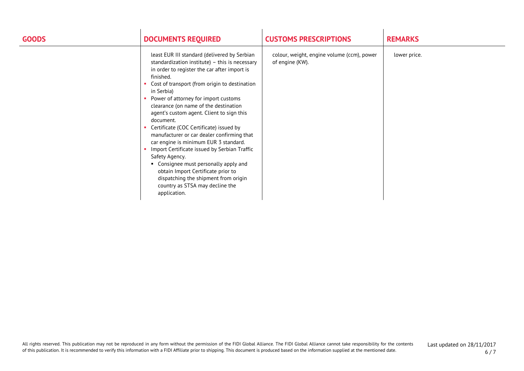| <b>GOODS</b> | <b>DOCUMENTS REQUIRED</b>                                                                                                                                                                                                                                                                                                                                                                                                                                                                                                                                                                                                                                                                                                                           | <b>CUSTOMS PRESCRIPTIONS</b>                                  | <b>REMARKS</b> |
|--------------|-----------------------------------------------------------------------------------------------------------------------------------------------------------------------------------------------------------------------------------------------------------------------------------------------------------------------------------------------------------------------------------------------------------------------------------------------------------------------------------------------------------------------------------------------------------------------------------------------------------------------------------------------------------------------------------------------------------------------------------------------------|---------------------------------------------------------------|----------------|
|              | least EUR III standard (delivered by Serbian<br>standardization institute) - this is necessary<br>in order to register the car after import is<br>finished.<br>Cost of transport (from origin to destination<br>in Serbia)<br>Power of attorney for import customs<br>clearance (on name of the destination<br>agent's custom agent. Client to sign this<br>document.<br>Certificate (COC Certificate) issued by<br>manufacturer or car dealer confirming that<br>car engine is minimum EUR 3 standard.<br>Import Certificate issued by Serbian Traffic<br>Safety Agency.<br>• Consignee must personally apply and<br>obtain Import Certificate prior to<br>dispatching the shipment from origin<br>country as STSA may decline the<br>application. | colour, weight, engine volume (ccm), power<br>of engine (KW). | lower price.   |